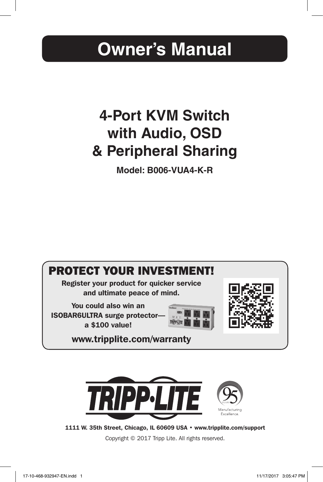# **Owner's Manual**

# **4-Port KVM Switch with Audio, OSD & Peripheral Sharing**

**Model: B006-VUA4-K-R**





1111 W. 35th Street, Chicago, IL 60609 USA • www.tripplite.com/support

Copyright © 2017 Tripp Lite. All rights reserved.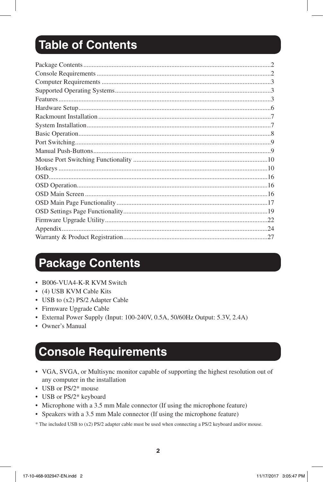# Table of Contents

### **Package Contents**

- B006-VUA4-K-R KVM Switch
- (4) USB KVM Cable Kits
- USB to (x2) PS/2 Adapter Cable
- Firmware Upgrade Cable
- External Power Supply (Input: 100-240V, 0.5A, 50/60Hz Output: 5.3V, 2.4A)
- Owner's Manual

### **Console Requirements**

- VGA, SVGA, or Multisync monitor capable of supporting the highest resolution out of any computer in the installation
- USB or PS/2\* mouse
- USB or PS/2\* keyboard
- Microphone with a 3.5 mm Male connector (If using the microphone feature)
- Speakers with a 3.5 mm Male connector (If using the microphone feature)

\* The included USB to (x2) PS/2 adapter cable must be used when connecting a PS/2 keyboard and/or mouse.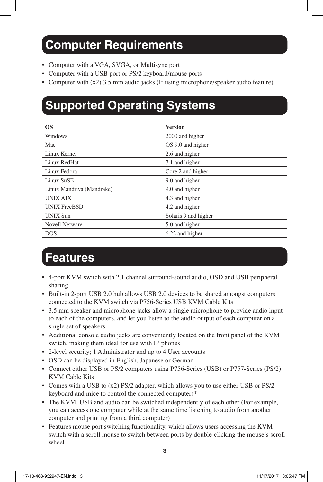### **Computer Requirements**

- Computer with a VGA, SVGA, or Multisync port
- Computer with a USB port or PS/2 keyboard/mouse ports
- Computer with (x2) 3.5 mm audio jacks (If using microphone/speaker audio feature)

### **Supported Operating Systems**

| <b>OS</b>                 | <b>Version</b>       |
|---------------------------|----------------------|
| Windows                   | 2000 and higher      |
| Mac                       | OS 9.0 and higher    |
| Linux Kernel              | 2.6 and higher       |
| Linux RedHat              | 7.1 and higher       |
| Linux Fedora              | Core 2 and higher    |
| <b>Linux SuSE</b>         | 9.0 and higher       |
| Linux Mandriva (Mandrake) | 9.0 and higher       |
| <b>UNIX AIX</b>           | 4.3 and higher       |
| <b>UNIX FreeBSD</b>       | 4.2 and higher       |
| <b>UNIX Sun</b>           | Solaris 9 and higher |
| <b>Novell Netware</b>     | 5.0 and higher       |
| <b>DOS</b>                | 6.22 and higher      |

### **Features**

- 4-port KVM switch with 2.1 channel surround-sound audio, OSD and USB peripheral sharing
- Built-in 2-port USB 2.0 hub allows USB 2.0 devices to be shared amongst computers connected to the KVM switch via P756-Series USB KVM Cable Kits
- 3.5 mm speaker and microphone jacks allow a single microphone to provide audio input to each of the computers, and let you listen to the audio output of each computer on a single set of speakers
- Additional console audio jacks are conveniently located on the front panel of the KVM switch, making them ideal for use with IP phones
- 2-level security; 1 Administrator and up to 4 User accounts
- OSD can be displayed in English, Japanese or German
- Connect either USB or PS/2 computers using P756-Series (USB) or P757-Series (PS/2) KVM Cable Kits
- Comes with a USB to (x2) PS/2 adapter, which allows you to use either USB or PS/2 keyboard and mice to control the connected computers\*
- The KVM, USB and audio can be switched independently of each other (For example, you can access one computer while at the same time listening to audio from another computer and printing from a third computer)
- Features mouse port switching functionality, which allows users accessing the KVM switch with a scroll mouse to switch between ports by double-clicking the mouse's scroll wheel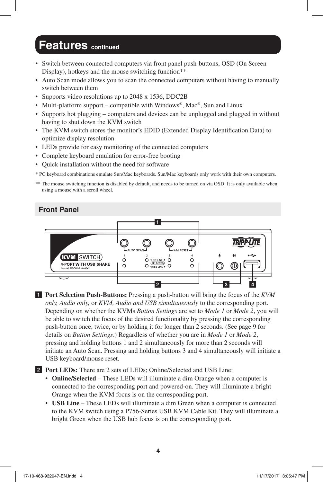### **Features continued**

- Switch between connected computers via front panel push-buttons, OSD (On Screen Display), hotkeys and the mouse switching function\*\*
- Auto Scan mode allows you to scan the connected computers without having to manually switch between them
- Supports video resolutions up to 2048 x 1536, DDC2B
- Multi-platform support compatible with Windows®, Mac®, Sun and Linux
- Supports hot plugging computers and devices can be unplugged and plugged in without having to shut down the KVM switch
- The KVM switch stores the monitor's EDID (Extended Display Identification Data) to optimize display resolution
- LEDs provide for easy monitoring of the connected computers
- Complete keyboard emulation for error-free booting
- Quick installation without the need for software

\* PC keyboard combinations emulate Sun/Mac keyboards. Sun/Mac keyboards only work with their own computers.

\*\* The mouse switching function is disabled by default, and needs to be turned on via OSD. It is only available when using a mouse with a scroll wheel.

#### **Front Panel**



**1 Port Selection Push-Buttons:** Pressing a push-button will bring the focus of the *KVM only, Audio only,* or *KVM, Audio and USB simultaneously* to the corresponding port. Depending on whether the KVMs *Button Settings* are set to *Mode 1* or *Mode 2*, you will be able to switch the focus of the desired functionality by pressing the corresponding push-button once, twice, or by holding it for longer than 2 seconds. (See page 9 for details on *Button Settings*.) Regardless of whether you are in *Mode 1* or *Mode 2*, pressing and holding buttons 1 and 2 simultaneously for more than 2 seconds will initiate an Auto Scan. Pressing and holding buttons 3 and 4 simultaneously will initiate a USB keyboard/mouse reset.

**2 Port LEDs:** There are 2 sets of LEDs; Online/Selected and USB Line:

- **Online/Selected**  These LEDs will illuminate a dim Orange when a computer is connected to the corresponding port and powered-on. They will illuminate a bright Orange when the KVM focus is on the corresponding port.
- **USB Line**  These LEDs will illuminate a dim Green when a computer is connected to the KVM switch using a P756-Series USB KVM Cable Kit. They will illuminate a bright Green when the USB hub focus is on the corresponding port.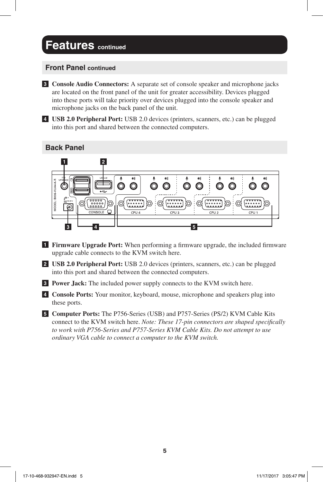### **Features** continued

#### **Front Panel continued**

**3 Console Audio Connectors:** A separate set of console speaker and microphone jacks are located on the front panel of the unit for greater accessibility. Devices plugged into these ports will take priority over devices plugged into the console speaker and microphone jacks on the back panel of the unit.

**4 USB 2.0 Peripheral Port:** USB 2.0 devices (printers, scanners, etc.) can be plugged into this port and shared between the connected computers.

#### **Back Panel**



- **1 Firmware Upgrade Port:** When performing a firmware upgrade, the included firmware upgrade cable connects to the KVM switch here.
- **2 USB 2.0 Peripheral Port:** USB 2.0 devices (printers, scanners, etc.) can be plugged into this port and shared between the connected computers.
- **3 Power Jack:** The included power supply connects to the KVM switch here.
- **4 Console Ports:** Your monitor, keyboard, mouse, microphone and speakers plug into these ports.
- **5 Computer Ports:** The P756-Series (USB) and P757-Series (PS/2) KVM Cable Kits connect to the KVM switch here. *Note: These 17-pin connectors are shaped specifically to work with P756-Series and P757-Series KVM Cable Kits. Do not attempt to use ordinary VGA cable to connect a computer to the KVM switch.*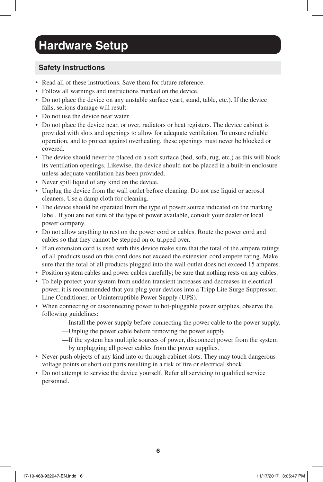## **Hardware Setup**

#### **Safety Instructions**

- Read all of these instructions. Save them for future reference.
- Follow all warnings and instructions marked on the device.
- Do not place the device on any unstable surface (cart, stand, table, etc.). If the device falls, serious damage will result.
- Do not use the device near water.
- Do not place the device near, or over, radiators or heat registers. The device cabinet is provided with slots and openings to allow for adequate ventilation. To ensure reliable operation, and to protect against overheating, these openings must never be blocked or covered.
- The device should never be placed on a soft surface (bed, sofa, rug, etc.) as this will block its ventilation openings. Likewise, the device should not be placed in a built-in enclosure unless adequate ventilation has been provided.
- Never spill liquid of any kind on the device.
- Unplug the device from the wall outlet before cleaning. Do not use liquid or aerosol cleaners. Use a damp cloth for cleaning.
- The device should be operated from the type of power source indicated on the marking label. If you are not sure of the type of power available, consult your dealer or local power company.
- Do not allow anything to rest on the power cord or cables. Route the power cord and cables so that they cannot be stepped on or tripped over.
- If an extension cord is used with this device make sure that the total of the ampere ratings of all products used on this cord does not exceed the extension cord ampere rating. Make sure that the total of all products plugged into the wall outlet does not exceed 15 amperes.
- Position system cables and power cables carefully; be sure that nothing rests on any cables.
- To help protect your system from sudden transient increases and decreases in electrical power, it is recommended that you plug your devices into a Tripp Lite Surge Suppressor, Line Conditioner, or Uninterruptible Power Supply (UPS).
- When connecting or disconnecting power to hot-pluggable power supplies, observe the following guidelines:
	- —Install the power supply before connecting the power cable to the power supply.
	- —Unplug the power cable before removing the power supply.
	- —If the system has multiple sources of power, disconnect power from the system by unplugging all power cables from the power supplies.
- Never push objects of any kind into or through cabinet slots. They may touch dangerous voltage points or short out parts resulting in a risk of fire or electrical shock.
- Do not attempt to service the device yourself. Refer all servicing to qualified service personnel.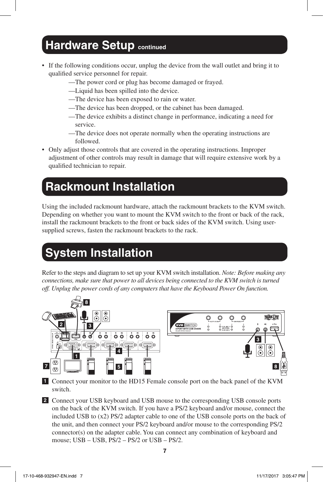### **Hardware Setup continued**

- If the following conditions occur, unplug the device from the wall outlet and bring it to qualified service personnel for repair.
	- —The power cord or plug has become damaged or frayed.
	- —Liquid has been spilled into the device.
	- —The device has been exposed to rain or water.
	- —The device has been dropped, or the cabinet has been damaged.
	- —The device exhibits a distinct change in performance, indicating a need for service.
	- —The device does not operate normally when the operating instructions are followed.
- Only adjust those controls that are covered in the operating instructions. Improper adjustment of other controls may result in damage that will require extensive work by a qualified technician to repair.

### **Rackmount Installation**

Using the included rackmount hardware, attach the rackmount brackets to the KVM switch. Depending on whether you want to mount the KVM switch to the front or back of the rack, install the rackmount brackets to the front or back sides of the KVM switch. Using usersupplied screws, fasten the rackmount brackets to the rack.

# **System Installation**

Refer to the steps and diagram to set up your KVM switch installation. *Note: Before making any connections, make sure that power to all devices being connected to the KVM switch is turned off. Unplug the power cords of any computers that have the Keyboard Power On function.*



- **1** Connect your monitor to the HD15 Female console port on the back panel of the KVM switch.
- **2** Connect your USB keyboard and USB mouse to the corresponding USB console ports on the back of the KVM switch. If you have a PS/2 keyboard and/or mouse, connect the included USB to (x2) PS/2 adapter cable to one of the USB console ports on the back of the unit, and then connect your PS/2 keyboard and/or mouse to the corresponding PS/2 connector(s) on the adapter cable. You can connect any combination of keyboard and mouse; USB – USB, PS/2 – PS/2 or USB – PS/2.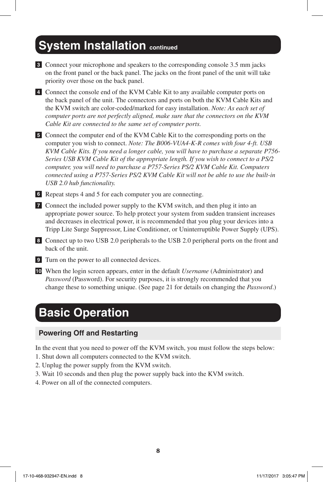### **System Installation continued**

- **3** Connect your microphone and speakers to the corresponding console 3.5 mm jacks on the front panel or the back panel. The jacks on the front panel of the unit will take priority over those on the back panel.
- **4** Connect the console end of the KVM Cable Kit to any available computer ports on the back panel of the unit. The connectors and ports on both the KVM Cable Kits and the KVM switch are color-coded/marked for easy installation. *Note: As each set of computer ports are not perfectly aligned, make sure that the connectors on the KVM Cable Kit are connected to the same set of computer ports.*

**5** Connect the computer end of the KVM Cable Kit to the corresponding ports on the computer you wish to connect. *Note: The B006-VUA4-K-R comes with four 4-ft. USB KVM Cable Kits. If you need a longer cable, you will have to purchase a separate P756- Series USB KVM Cable Kit of the appropriate length. If you wish to connect to a PS/2 computer, you will need to purchase a P757-Series PS/2 KVM Cable Kit. Computers connected using a P757-Series PS/2 KVM Cable Kit will not be able to use the built-in USB 2.0 hub functionality.*

**6** Repeat steps 4 and 5 for each computer you are connecting.

- **7** Connect the included power supply to the KVM switch, and then plug it into an appropriate power source. To help protect your system from sudden transient increases and decreases in electrical power, it is recommended that you plug your devices into a Tripp Lite Surge Suppressor, Line Conditioner, or Uninterruptible Power Supply (UPS).
- **8** Connect up to two USB 2.0 peripherals to the USB 2.0 peripheral ports on the front and back of the unit.
- **9** Turn on the power to all connected devices.
- **10** When the login screen appears, enter in the default *Username* (Administrator) and *Password* (Password). For security purposes, it is strongly recommended that you change these to something unique. (See page 21 for details on changing the *Password*.)

### **Basic Operation**

#### **Powering Off and Restarting**

In the event that you need to power off the KVM switch, you must follow the steps below:

- 1. Shut down all computers connected to the KVM switch.
- 2. Unplug the power supply from the KVM switch.
- 3. Wait 10 seconds and then plug the power supply back into the KVM switch.
- 4. Power on all of the connected computers.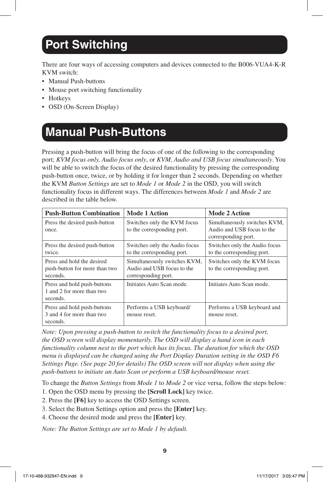## **Port Switching**

There are four ways of accessing computers and devices connected to the B006-VUA4-K-R KVM switch:

- Manual Push-buttons
- Mouse port switching functionality
- Hotkeys
- OSD (On-Screen Display)

### **Manual Push-Buttons**

Pressing a push-button will bring the focus of one of the following to the corresponding port; *KVM focus only, Audio focus only*, or *KVM, Audio and USB focus simultaneously*. You will be able to switch the focus of the desired functionality by pressing the corresponding push-button once, twice, or by holding it for longer than 2 seconds. Depending on whether the KVM *Button Settings* are set to *Mode 1* or *Mode 2* in the OSD, you will switch functionality focus in different ways. The differences between *Mode 1* and *Mode 2* are described in the table below.

| <b>Push-Button Combination</b>                                          | <b>Mode 1 Action</b>                                                              | <b>Mode 2 Action</b>                                                              |
|-------------------------------------------------------------------------|-----------------------------------------------------------------------------------|-----------------------------------------------------------------------------------|
| Press the desired push-button<br>once.                                  | Switches only the KVM focus<br>to the corresponding port.                         | Simultaneously switches KVM,<br>Audio and USB focus to the<br>corresponding port. |
| Press the desired push-button<br>twice.                                 | Switches only the Audio focus<br>to the corresponding port.                       | Switches only the Audio focus<br>to the corresponding port.                       |
| Press and hold the desired<br>push-button for more than two<br>seconds. | Simultaneously switches KVM,<br>Audio and USB focus to the<br>corresponding port. | Switches only the KVM focus<br>to the corresponding port.                         |
| Press and hold push-buttons<br>1 and 2 for more than two<br>seconds.    | Initiates Auto Scan mode.                                                         | Initiates Auto Scan mode.                                                         |
| Press and hold push-buttons<br>3 and 4 for more than two<br>seconds.    | Performs a USB keyboard/<br>mouse reset.                                          | Performs a USB keyboard and<br>mouse reset.                                       |

*Note: Upon pressing a push-button to switch the functionality focus to a desired port, the OSD screen will display momentarily. The OSD will display a hand icon in each functionality column next to the port which has its focus. The duration for which the OSD menu is displayed can be changed using the Port Display Duration setting in the OSD F6 Settings Page. (See page 20 for details) The OSD screen will not display when using the push-buttons to initiate an Auto Scan or perform a USB keyboard/mouse reset.*

To change the *Button Settings* from *Mode 1* to *Mode 2* or vice versa, follow the steps below:

- 1. Open the OSD menu by pressing the **[Scroll Lock]** key twice.
- 2. Press the **[F6]** key to access the OSD Settings screen.
- 3. Select the Button Settings option and press the **[Enter]** key.
- 4. Choose the desired mode and press the **[Enter]** key.

*Note: The Button Settings are set to Mode 1 by default.*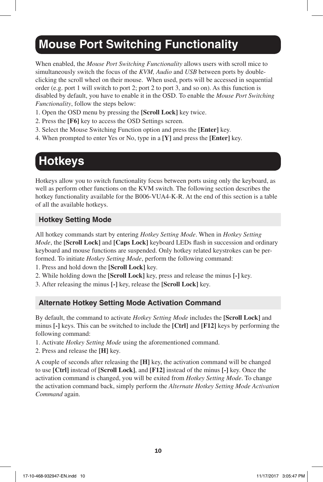### **Mouse Port Switching Functionality**

When enabled, the *Mouse Port Switching Functionality* allows users with scroll mice to simultaneously switch the focus of the *KVM, Audio* and *USB* between ports by doubleclicking the scroll wheel on their mouse. When used, ports will be accessed in sequential order (e.g. port 1 will switch to port 2; port 2 to port 3, and so on). As this function is disabled by default, you have to enable it in the OSD. To enable the *Mouse Port Switching Functionality*, follow the steps below:

- 1. Open the OSD menu by pressing the **[Scroll Lock]** key twice.
- 2. Press the **[F6]** key to access the OSD Settings screen.
- 3. Select the Mouse Switching Function option and press the **[Enter]** key.
- 4. When prompted to enter Yes or No, type in a **[Y]** and press the **[Enter]** key.

## **Hotkeys**

Hotkeys allow you to switch functionality focus between ports using only the keyboard, as well as perform other functions on the KVM switch. The following section describes the hotkey functionality available for the B006-VUA4-K-R. At the end of this section is a table of all the available hotkeys.

#### **Hotkey Setting Mode**

All hotkey commands start by entering *Hotkey Setting Mode*. When in *Hotkey Setting Mode*, the **[Scroll Lock]** and **[Caps Lock]** keyboard LEDs flash in succession and ordinary keyboard and mouse functions are suspended. Only hotkey related keystrokes can be performed. To initiate *Hotkey Setting Mode*, perform the following command:

- 1. Press and hold down the **[Scroll Lock]** key.
- 2. While holding down the **[Scroll Lock]** key, press and release the minus **[-]** key.
- 3. After releasing the minus **[-]** key, release the **[Scroll Lock]** key.

#### **Alternate Hotkey Setting Mode Activation Command**

By default, the command to activate *Hotkey Setting Mode* includes the **[Scroll Lock]** and minus **[-]** keys. This can be switched to include the **[Ctrl]** and **[F12]** keys by performing the following command:

- 1. Activate *Hotkey Setting Mode* using the aforementioned command.
- 2. Press and release the **[H]** key.

A couple of seconds after releasing the **[H]** key, the activation command will be changed to use **[Ctrl]** instead of **[Scroll Lock]**, and **[F12]** instead of the minus **[-]** key. Once the activation command is changed, you will be exited from *Hotkey Setting Mode*. To change the activation command back, simply perform the *Alternate Hotkey Setting Mode Activation Command* again.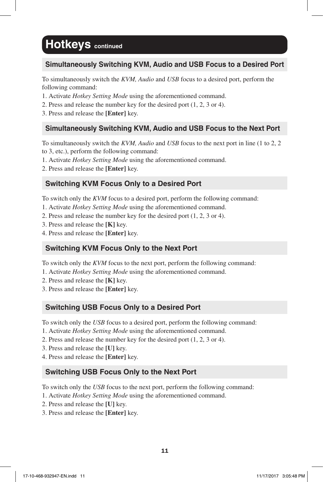#### **Simultaneously Switching KVM, Audio and USB Focus to a Desired Port**

To simultaneously switch the *KVM, Audio* and *USB* focus to a desired port, perform the following command:

1. Activate *Hotkey Setting Mode* using the aforementioned command.

- 2. Press and release the number key for the desired port (1, 2, 3 or 4).
- 3. Press and release the **[Enter]** key.

#### **Simultaneously Switching KVM, Audio and USB Focus to the Next Port**

To simultaneously switch the *KVM, Audio* and *USB* focus to the next port in line (1 to 2, 2 to 3, etc.), perform the following command:

1. Activate *Hotkey Setting Mode* using the aforementioned command.

2. Press and release the **[Enter]** key.

#### **Switching KVM Focus Only to a Desired Port**

To switch only the *KVM* focus to a desired port, perform the following command:

- 1. Activate *Hotkey Setting Mode* using the aforementioned command.
- 2. Press and release the number key for the desired port (1, 2, 3 or 4).
- 3. Press and release the **[K]** key.
- 4. Press and release the **[Enter]** key.

#### **Switching KVM Focus Only to the Next Port**

To switch only the *KVM* focus to the next port, perform the following command:

- 1. Activate *Hotkey Setting Mode* using the aforementioned command.
- 2. Press and release the **[K]** key.
- 3. Press and release the **[Enter]** key.

#### **Switching USB Focus Only to a Desired Port**

To switch only the *USB* focus to a desired port, perform the following command:

- 1. Activate *Hotkey Setting Mode* using the aforementioned command.
- 2. Press and release the number key for the desired port (1, 2, 3 or 4).
- 3. Press and release the **[U]** key.
- 4. Press and release the **[Enter]** key.

#### **Switching USB Focus Only to the Next Port**

To switch only the *USB* focus to the next port, perform the following command:

- 1. Activate *Hotkey Setting Mode* using the aforementioned command.
- 2. Press and release the **[U]** key.
- 3. Press and release the **[Enter]** key.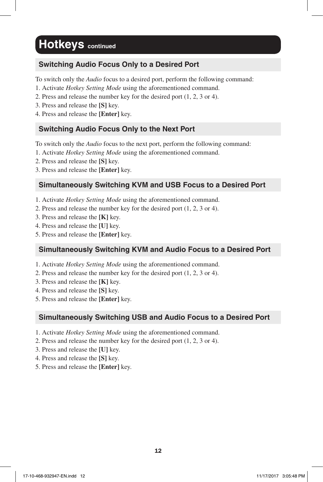#### **Switching Audio Focus Only to a Desired Port**

To switch only the *Audio* focus to a desired port, perform the following command:

- 1. Activate *Hotkey Setting Mode* using the aforementioned command.
- 2. Press and release the number key for the desired port (1, 2, 3 or 4).
- 3. Press and release the **[S]** key.
- 4. Press and release the **[Enter]** key.

#### **Switching Audio Focus Only to the Next Port**

To switch only the *Audio* focus to the next port, perform the following command:

- 1. Activate *Hotkey Setting Mode* using the aforementioned command.
- 2. Press and release the **[S]** key.
- 3. Press and release the **[Enter]** key.

#### **Simultaneously Switching KVM and USB Focus to a Desired Port**

- 1. Activate *Hotkey Setting Mode* using the aforementioned command.
- 2. Press and release the number key for the desired port (1, 2, 3 or 4).
- 3. Press and release the **[K]** key.
- 4. Press and release the **[U]** key.
- 5. Press and release the **[Enter]** key.

#### **Simultaneously Switching KVM and Audio Focus to a Desired Port**

- 1. Activate *Hotkey Setting Mode* using the aforementioned command.
- 2. Press and release the number key for the desired port (1, 2, 3 or 4).
- 3. Press and release the **[K]** key.
- 4. Press and release the **[S]** key.
- 5. Press and release the **[Enter]** key.

#### **Simultaneously Switching USB and Audio Focus to a Desired Port**

- 1. Activate *Hotkey Setting Mode* using the aforementioned command.
- 2. Press and release the number key for the desired port (1, 2, 3 or 4).
- 3. Press and release the **[U]** key.
- 4. Press and release the **[S]** key.
- 5. Press and release the **[Enter]** key.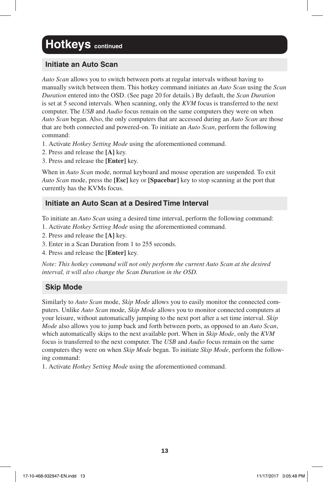#### **Initiate an Auto Scan**

*Auto Scan* allows you to switch between ports at regular intervals without having to manually switch between them. This hotkey command initiates an *Auto Scan* using the *Scan Duration* entered into the OSD. (See page 20 for details.) By default, the *Scan Duration* is set at 5 second intervals. When scanning, only the *KVM* focus is transferred to the next computer. The *USB* and *Audio* focus remain on the same computers they were on when *Auto Scan* began. Also, the only computers that are accessed during an *Auto Scan* are those that are both connected and powered-on. To initiate an *Auto Scan*, perform the following command:

- 1. Activate *Hotkey Setting Mode* using the aforementioned command.
- 2. Press and release the **[A]** key.
- 3. Press and release the **[Enter]** key.

When in *Auto Scan* mode, normal keyboard and mouse operation are suspended. To exit *Auto Scan* mode, press the **[Esc]** key or **[Spacebar]** key to stop scanning at the port that currently has the KVMs focus.

#### **Initiate an Auto Scan at a Desired Time Interval**

To initiate an *Auto Scan* using a desired time interval, perform the following command:

- 1. Activate *Hotkey Setting Mode* using the aforementioned command.
- 2. Press and release the **[A]** key.
- 3. Enter in a Scan Duration from 1 to 255 seconds.
- 4. Press and release the **[Enter]** key.

*Note: This hotkey command will not only perform the current Auto Scan at the desired interval, it will also change the Scan Duration in the OSD.*

#### **Skip Mode**

Similarly to *Auto Scan* mode, *Skip Mode* allows you to easily monitor the connected computers. Unlike *Auto Scan* mode, *Skip Mode* allows you to monitor connected computers at your leisure, without automatically jumping to the next port after a set time interval. *Skip Mode* also allows you to jump back and forth between ports, as opposed to an *Auto Scan*, which automatically skips to the next available port. When in *Skip Mode*, only the *KVM* focus is transferred to the next computer. The *USB* and *Audio* focus remain on the same computers they were on when *Skip Mode* began. To initiate *Skip Mode*, perform the following command:

1. Activate *Hotkey Setting Mode* using the aforementioned command.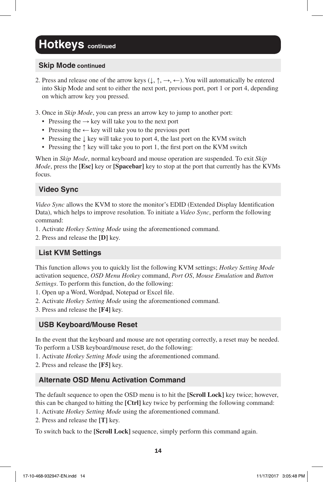#### **Skip Mode continued**

- 2. Press and release one of the arrow keys  $(\downarrow, \uparrow, \rightarrow, \leftarrow)$ . You will automatically be entered into Skip Mode and sent to either the next port, previous port, port 1 or port 4, depending on which arrow key you pressed.
- 3. Once in *Skip Mode*, you can press an arrow key to jump to another port:
	- Pressing the  $\rightarrow$  key will take you to the next port
	- Pressing the ← key will take you to the previous port
	- Pressing the ↓ key will take you to port 4, the last port on the KVM switch
	- Pressing the ↑ key will take you to port 1, the first port on the KVM switch

When in *Skip Mode*, normal keyboard and mouse operation are suspended. To exit *Skip Mode*, press the **[Esc]** key or **[Spacebar]** key to stop at the port that currently has the KVMs focus.

#### **Video Sync**

*Video Sync* allows the KVM to store the monitor's EDID (Extended Display Identification Data), which helps to improve resolution. To initiate a *Video Sync*, perform the following command:

- 1. Activate *Hotkey Setting Mode* using the aforementioned command.
- 2. Press and release the **[D]** key.

#### **List KVM Settings**

This function allows you to quickly list the following KVM settings; *Hotkey Setting Mode* activation sequence, *OSD Menu Hotkey* command, *Port OS*, *Mouse Emulation* and *Button Settings*. To perform this function, do the following:

- 1. Open up a Word, Wordpad, Notepad or Excel file.
- 2. Activate *Hotkey Setting Mode* using the aforementioned command.
- 3. Press and release the **[F4]** key.

#### **USB Keyboard/Mouse Reset**

In the event that the keyboard and mouse are not operating correctly, a reset may be needed. To perform a USB keyboard/mouse reset, do the following:

1. Activate *Hotkey Setting Mode* using the aforementioned command.

2. Press and release the **[F5]** key.

#### **Alternate OSD Menu Activation Command**

The default sequence to open the OSD menu is to hit the **[Scroll Lock]** key twice; however, this can be changed to hitting the **[Ctrl]** key twice by performing the following command:

- 1. Activate *Hotkey Setting Mode* using the aforementioned command.
- 2. Press and release the **[T]** key.

To switch back to the **[Scroll Lock]** sequence, simply perform this command again.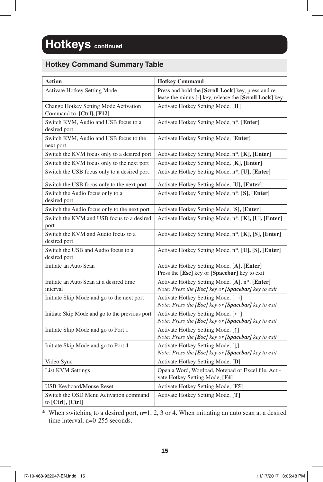#### **Hotkey Command Summary Table**

| Action                                                            | <b>Hotkey Command</b>                                                                                          |
|-------------------------------------------------------------------|----------------------------------------------------------------------------------------------------------------|
| Activate Hotkey Setting Mode                                      | Press and hold the [Scroll Lock] key, press and re-<br>lease the minus [-] key, release the [Scroll Lock] key. |
| Change Hotkey Setting Mode Activation<br>Command to [Ctrl], [F12] | Activate Hotkey Setting Mode, [H]                                                                              |
| Switch KVM, Audio and USB focus to a<br>desired port              | Activate Hotkey Setting Mode, n <sup>*</sup> , [Enter]                                                         |
| Switch KVM, Audio and USB focus to the<br>next port               | Activate Hotkey Setting Mode, [Enter]                                                                          |
| Switch the KVM focus only to a desired port                       | Activate Hotkey Setting Mode, n <sup>*</sup> , [ <b>K</b> ], [ <b>Enter</b> ]                                  |
| Switch the KVM focus only to the next port                        | Activate Hotkey Setting Mode, [K], [Enter]                                                                     |
| Switch the USB focus only to a desired port                       | Activate Hotkey Setting Mode, n*, [U], [Enter]                                                                 |
| Switch the USB focus only to the next port                        | Activate Hotkey Setting Mode, [U], [Enter]                                                                     |
| Switch the Audio focus only to a<br>desired port                  | Activate Hotkey Setting Mode, n*, [S], [Enter]                                                                 |
| Switch the Audio focus only to the next port                      | Activate Hotkey Setting Mode, [S], [Enter]                                                                     |
| Switch the KVM and USB focus to a desired<br>port                 | Activate Hotkey Setting Mode, n <sup>*</sup> , [ <b>K</b> ], [ <b>U</b> ], [ <b>Enter</b> ]                    |
| Switch the KVM and Audio focus to a<br>desired port               | Activate Hotkey Setting Mode, n <sup>*</sup> , [K], [S], [Enter]                                               |
| Switch the USB and Audio focus to a<br>desired port               | Activate Hotkey Setting Mode, n*, [U], [S], [Enter]                                                            |
| Initiate an Auto Scan                                             | Activate Hotkey Setting Mode, [A], [Enter]<br>Press the [Esc] key or [Spacebar] key to exit                    |
| Initiate an Auto Scan at a desired time<br>interval               | Activate Hotkey Setting Mode, [A], n*, [Enter]<br>Note: Press the [Esc] key or [Spacebar] key to exit          |
| Initiate Skip Mode and go to the next port                        | Activate Hotkey Setting Mode, $[\rightarrow]$<br>Note: Press the [Esc] key or [Spacebar] key to exit           |
| Initiate Skip Mode and go to the previous port                    | Activate Hotkey Setting Mode, [←]<br>Note: Press the [Esc] key or [Spacebar] key to exit                       |
| Initiate Skip Mode and go to Port 1                               | Activate Hotkey Setting Mode, [1]<br>Note: Press the [Esc] key or [Spacebar] key to exit                       |
| Initiate Skip Mode and go to Port 4                               | Activate Hotkey Setting Mode, [1]<br>Note: Press the [Esc] key or [Spacebar] key to exit                       |
| Video Sync                                                        | Activate Hotkey Setting Mode, [D]                                                                              |
| <b>List KVM Settings</b>                                          | Open a Word, Wordpad, Notepad or Excel file, Acti-<br>vate Hotkey Setting Mode, [F4]                           |
| <b>USB Keyboard/Mouse Reset</b>                                   | Activate Hotkey Setting Mode, [F5]                                                                             |
| Switch the OSD Menu Activation command<br>to [Ctrl], [Ctrl]       | Activate Hotkey Setting Mode, [T]                                                                              |

 $*$  When switching to a desired port, n=1, 2, 3 or 4. When initiating an auto scan at a desired time interval, n=0-255 seconds.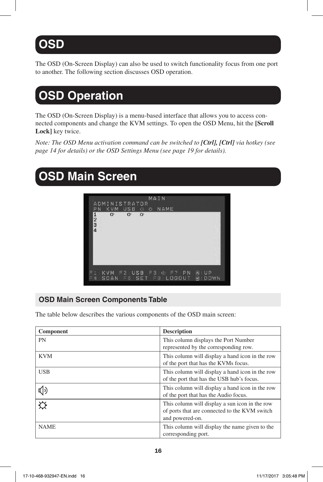# **OSD**

The OSD (On-Screen Display) can also be used to switch functionality focus from one port to another. The following section discusses OSD operation.

# **OSD Operation**

The OSD (On-Screen Display) is a menu-based interface that allows you to access connected components and change the KVM settings. To open the OSD Menu, hit the **[Scroll Lock]** key twice.

*Note: The OSD Menu activation command can be switched to [Ctrl], [Ctrl] via hotkey (see page 14 for details) or the OSD Settings Menu (see page 19 for details).*

### **OSD Main Screen**



#### **OSD Main Screen Components Table**

The table below describes the various components of the OSD main screen:

| Component                          | <b>Description</b>                                                                                                 |
|------------------------------------|--------------------------------------------------------------------------------------------------------------------|
| <b>PN</b>                          | This column displays the Port Number<br>represented by the corresponding row.                                      |
| <b>KVM</b>                         | This column will display a hand icon in the row<br>of the port that has the KVMs focus.                            |
| <b>USB</b>                         | This column will display a hand icon in the row<br>of the port that has the USB hub's focus.                       |
| (小                                 | This column will display a hand icon in the row<br>of the port that has the Audio focus.                           |
| $\overline{\mathbf{\hat{\alpha}}}$ | This column will display a sun icon in the row<br>of ports that are connected to the KVM switch<br>and powered-on. |
| <b>NAME</b>                        | This column will display the name given to the<br>corresponding port.                                              |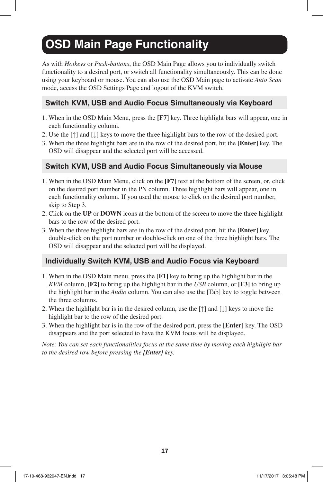# **OSD Main Page Functionality**

As with *Hotkeys* or *Push-buttons*, the OSD Main Page allows you to individually switch functionality to a desired port, or switch all functionality simultaneously. This can be done using your keyboard or mouse. You can also use the OSD Main page to activate *Auto Scan* mode, access the OSD Settings Page and logout of the KVM switch.

#### **Switch KVM, USB and Audio Focus Simultaneously via Keyboard**

- 1. When in the OSD Main Menu, press the **[F7]** key. Three highlight bars will appear, one in each functionality column.
- 2. Use the  $[\uparrow]$  and  $[\downarrow]$  keys to move the three highlight bars to the row of the desired port.
- 3. When the three highlight bars are in the row of the desired port, hit the **[Enter]** key. The OSD will disappear and the selected port will be accessed.

#### **Switch KVM, USB and Audio Focus Simultaneously via Mouse**

- 1. When in the OSD Main Menu, click on the **[F7]** text at the bottom of the screen, or, click on the desired port number in the PN column. Three highlight bars will appear, one in each functionality column. If you used the mouse to click on the desired port number, skip to Step 3.
- 2. Click on the **UP** or **DOWN** icons at the bottom of the screen to move the three highlight bars to the row of the desired port.
- 3. When the three highlight bars are in the row of the desired port, hit the **[Enter]** key, double-click on the port number or double-click on one of the three highlight bars. The OSD will disappear and the selected port will be displayed.

#### **Individually Switch KVM, USB and Audio Focus via Keyboard**

- 1. When in the OSD Main menu, press the **[F1]** key to bring up the highlight bar in the *KVM* column, **[F2]** to bring up the highlight bar in the *USB* column, or **[F3]** to bring up the highlight bar in the *Audio* column. You can also use the [Tab] key to toggle between the three columns.
- 2. When the highlight bar is in the desired column, use the  $\lceil \uparrow \rceil$  and  $\lceil \downarrow \rceil$  keys to move the highlight bar to the row of the desired port.
- 3. When the highlight bar is in the row of the desired port, press the **[Enter]** key. The OSD disappears and the port selected to have the KVM focus will be displayed.

*Note: You can set each functionalities focus at the same time by moving each highlight bar to the desired row before pressing the [Enter] key.*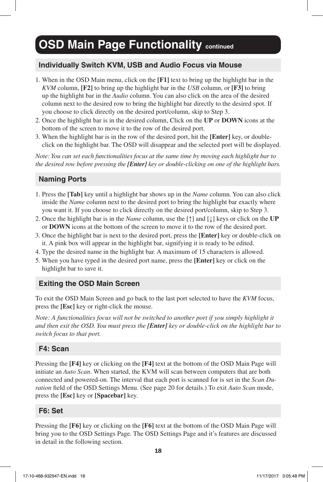## **OSD Main Page Functionality continued**

#### **Individually Switch KVM, USB and Audio Focus via Mouse**

- 1. When in the OSD Main menu, click on the **[F1]** text to bring up the highlight bar in the *KVM* column, **[F2]** to bring up the highlight bar in the *USB* column, or **[F3]** to bring up the highlight bar in the *Audio* column. You can also click on the area of the desired column next to the desired row to bring the highlight bar directly to the desired spot. If you choose to click directly on the desired port/column, skip to Step 3.
- 2. Once the highlight bar is in the desired column, Click on the **UP** or **DOWN** icons at the bottom of the screen to move it to the row of the desired port.
- 3. When the highlight bar is in the row of the desired port, hit the **[Enter]** key, or doubleclick on the highlight bar. The OSD will disappear and the selected port will be displayed.

*Note: You can set each functionalities focus at the same time by moving each highlight bar to the desired row before pressing the [Enter] key or double-clicking on one of the highlight bars.*

#### **Naming Ports**

- 1. Press the **[Tab]** key until a highlight bar shows up in the *Name* column. You can also click inside the *Name* column next to the desired port to bring the highlight bar exactly where you want it. If you choose to click directly on the desired port/column, skip to Step 3.
- 2. Once the highlight bar is in the *Name* column, use the [↑] and [↓] keys or click on the **UP** or **DOWN** icons at the bottom of the screen to move it to the row of the desired port.
- 3. Once the highlight bar is next to the desired port, press the **[Enter]** key or double-click on it. A pink box will appear in the highlight bar, signifying it is ready to be edited.
- 4. Type the desired name in the highlight bar. A maximum of 15 characters is allowed.
- 5. When you have typed in the desired port name, press the **[Enter]** key or click on the highlight bar to save it.

#### **Exiting the OSD Main Screen**

To exit the OSD Main Screen and go back to the last port selected to have the *KVM* focus, press the **[Esc]** key or right-click the mouse.

*Note: A functionalities focus will not be switched to another port if you simply highlight it and then exit the OSD. You must press the [Enter] key or double-click on the highlight bar to switch focus to that port.*

#### **F4: Scan**

Pressing the **[F4]** key or clicking on the **[F4]** text at the bottom of the OSD Main Page will initiate an *Auto Scan*. When started, the KVM will scan between computers that are both connected and powered-on. The interval that each port is scanned for is set in the *Scan Duration* field of the OSD Settings Menu. (See page 20 for details.) To exit *Auto Scan* mode, press the **[Esc]** key or **[Spacebar]** key.

#### **F6: Set**

Pressing the **[F6]** key or clicking on the **[F6]** text at the bottom of the OSD Main Page will bring you to the OSD Settings Page. The OSD Settings Page and it's features are discussed in detail in the following section.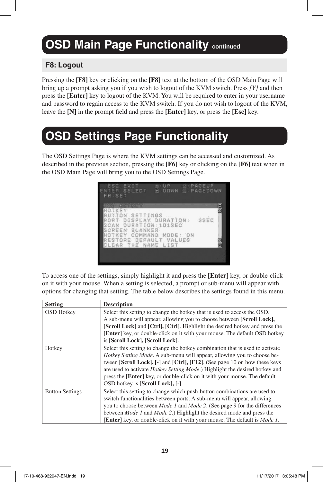# **OSD Main Page Functionality continued**

#### **F8: Logout**

Pressing the **[F8]** key or clicking on the **[F8]** text at the bottom of the OSD Main Page will bring up a prompt asking you if you wish to logout of the KVM switch. Press *[Y]* and then press the **[Enter]** key to logout of the KVM. You will be required to enter in your username and password to regain access to the KVM switch. If you do not wish to logout of the KVM, leave the **[N]** in the prompt field and press the **[Enter]** key, or press the **[Esc]** key.

# **OSD Settings Page Functionality**

The OSD Settings Page is where the KVM settings can be accessed and customized. As described in the previous section, pressing the **[F6]** key or clicking on the **[F6]** text when in the OSD Main Page will bring you to the OSD Settings Page.

| FB:SET | ESC.EXIT<br>ENTER SELECT<br>alaya) filamingsay<br>HOTKEY<br>BUTTON SETTINGS<br>PORT DISPLAY DURATION:<br>SCAN DURATION : 101SEC<br>SCREEN BLANKER | ⊞:UP<br>∺:DO<br>DOWN | PAGEUP<br>D PAGEUR<br>B PAGEDOWN<br>$-3SEC$ | <b>Sills</b> |
|--------|---------------------------------------------------------------------------------------------------------------------------------------------------|----------------------|---------------------------------------------|--------------|
|        | HOTKEY COMMAND MODE: ON<br>RESTORE DEFAULT VALUES<br>CLEAR THE NAME LIST                                                                          |                      |                                             | 일<br>대       |

To access one of the settings, simply highlight it and press the **[Enter]** key, or double-click on it with your mouse. When a setting is selected, a prompt or sub-menu will appear with options for changing that setting. The table below describes the settings found in this menu.

| <b>Setting</b>         | <b>Description</b>                                                                        |  |  |
|------------------------|-------------------------------------------------------------------------------------------|--|--|
| <b>OSD</b> Hotkey      | Select this setting to change the hotkey that is used to access the OSD.                  |  |  |
|                        | A sub-menu will appear, allowing you to choose between [Scroll Lock],                     |  |  |
|                        | [Scroll Lock] and [Ctrl], [Ctrl]. Highlight the desired hotkey and press the              |  |  |
|                        | [Enter] key, or double-click on it with your mouse. The default OSD hotkey                |  |  |
|                        | is [Scroll Lock], [Scroll Lock].                                                          |  |  |
| Hotkey                 | Select this setting to change the hotkey combination that is used to activate             |  |  |
|                        | <i>Hotkey Setting Mode.</i> A sub-menu will appear, allowing you to choose be-            |  |  |
|                        | tween [Scroll Lock], [-] and [Ctrl], [F12]. (See page 10 on how these keys                |  |  |
|                        | are used to activate <i>Hotkey Setting Mode</i> .) Highlight the desired hotkey and       |  |  |
|                        | press the [Enter] key, or double-click on it with your mouse. The default                 |  |  |
|                        | OSD hotkey is [Scroll Lock], [-].                                                         |  |  |
| <b>Button Settings</b> | Select this setting to change which push-button combinations are used to                  |  |  |
|                        | switch functionalities between ports. A sub-menu will appear, allowing                    |  |  |
|                        | you to choose between <i>Mode 1</i> and <i>Mode 2</i> . (See page 9 for the differences   |  |  |
|                        | between <i>Mode 1</i> and <i>Mode 2.</i> ) Highlight the desired mode and press the       |  |  |
|                        | <b>[Enter]</b> key, or double-click on it with your mouse. The default is <i>Mode 1</i> . |  |  |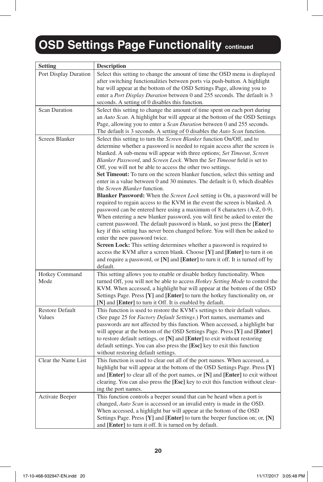# **OSD Settings Page Functionality Continued**

| <b>Setting</b>                   | <b>Description</b>                                                                                                                                                                                                                                                                                                                                                                                                                                                                                                        |
|----------------------------------|---------------------------------------------------------------------------------------------------------------------------------------------------------------------------------------------------------------------------------------------------------------------------------------------------------------------------------------------------------------------------------------------------------------------------------------------------------------------------------------------------------------------------|
| Port Display Duration            | Select this setting to change the amount of time the OSD menu is displayed<br>after switching functionalities between ports via push-button. A highlight                                                                                                                                                                                                                                                                                                                                                                  |
|                                  | bar will appear at the bottom of the OSD Settings Page, allowing you to                                                                                                                                                                                                                                                                                                                                                                                                                                                   |
|                                  | enter a <i>Port Display Duration</i> between 0 and 255 seconds. The default is 3                                                                                                                                                                                                                                                                                                                                                                                                                                          |
|                                  | seconds. A setting of 0 disables this function.                                                                                                                                                                                                                                                                                                                                                                                                                                                                           |
| <b>Scan Duration</b>             | Select this setting to change the amount of time spent on each port during<br>an Auto Scan. A highlight bar will appear at the bottom of the OSD Settings<br>Page, allowing you to enter a <i>Scan Duration</i> between 0 and 255 seconds.<br>The default is 3 seconds. A setting of 0 disables the <i>Auto Scan</i> function.                                                                                                                                                                                            |
| Screen Blanker                   | Select this setting to turn the <i>Screen Blanker</i> function On/Off, and to                                                                                                                                                                                                                                                                                                                                                                                                                                             |
|                                  | determine whether a password is needed to regain access after the screen is<br>blanked. A sub-menu will appear with three options; Set Timeout, Screen<br>Blanker Password, and Screen Lock. When the Set Timeout field is set to<br>Off, you will not be able to access the other two settings.                                                                                                                                                                                                                          |
|                                  | Set Timeout: To turn on the screen blanker function, select this setting and                                                                                                                                                                                                                                                                                                                                                                                                                                              |
|                                  | enter in a value between 0 and 30 minutes. The default is 0, which disables                                                                                                                                                                                                                                                                                                                                                                                                                                               |
|                                  | the Screen Blanker function.                                                                                                                                                                                                                                                                                                                                                                                                                                                                                              |
|                                  | <b>Blanker Password:</b> When the <i>Screen Lock</i> setting is On, a password will be<br>required to regain access to the KVM in the event the screen is blanked. A<br>password can be entered here using a maximum of 8 characters (A-Z, 0-9).<br>When entering a new blanker password, you will first be asked to enter the<br>current password. The default password is blank, so just press the [Enter]                                                                                                              |
|                                  | key if this setting has never been changed before. You will then be asked to                                                                                                                                                                                                                                                                                                                                                                                                                                              |
|                                  | enter the new password twice.                                                                                                                                                                                                                                                                                                                                                                                                                                                                                             |
|                                  | <b>Screen Lock:</b> This setting determines whether a password is required to                                                                                                                                                                                                                                                                                                                                                                                                                                             |
|                                  | access the KVM after a screen blank. Choose [Y] and [Enter] to turn it on                                                                                                                                                                                                                                                                                                                                                                                                                                                 |
|                                  | and require a password, or [N] and [Enter] to turn it off. It is turned off by<br>default.                                                                                                                                                                                                                                                                                                                                                                                                                                |
| <b>Hotkey Command</b>            | This setting allows you to enable or disable hotkey functionality. When                                                                                                                                                                                                                                                                                                                                                                                                                                                   |
| Mode                             | turned Off, you will not be able to access <i>Hotkey Setting Mode</i> to control the<br>KVM. When accessed, a highlight bar will appear at the bottom of the OSD<br>Settings Page. Press $[Y]$ and $[Enter]$ to turn the hotkey functionality on, or                                                                                                                                                                                                                                                                      |
|                                  | [N] and [Enter] to turn it Off. It is enabled by default.                                                                                                                                                                                                                                                                                                                                                                                                                                                                 |
| <b>Restore Default</b><br>Values | This function is used to restore the KVM's settings to their default values.<br>(See page 25 for <i>Factory Default Settings</i> .) Port names, usernames and<br>passwords are not affected by this function. When accessed, a highlight bar<br>will appear at the bottom of the OSD Settings Page. Press [Y] and [Enter]<br>to restore default settings, or [N] and [Enter] to exit without restoring<br>default settings. You can also press the [Esc] key to exit this function<br>without restoring default settings. |
| Clear the Name List              | This function is used to clear out all of the port names. When accessed, a<br>highlight bar will appear at the bottom of the OSD Settings Page. Press $[Y]$<br>and [Enter] to clear all of the port names, or [N] and [Enter] to exit without<br>clearing. You can also press the [Esc] key to exit this function without clear-<br>ing the port names.                                                                                                                                                                   |
| <b>Activate Beeper</b>           | This function controls a beeper sound that can be heard when a port is                                                                                                                                                                                                                                                                                                                                                                                                                                                    |
|                                  | changed, <i>Auto Scan</i> is accessed or an invalid entry is made in the OSD.<br>When accessed, a highlight bar will appear at the bottom of the OSD<br>Settings Page. Press $[Y]$ and $[Enter]$ to turn the beeper function on; or, $[N]$<br>and [Enter] to turn it off. It is turned on by default.                                                                                                                                                                                                                     |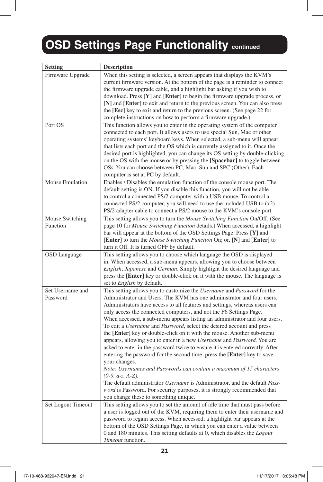# **OSD Settings Page Functionality continued**

| <b>Setting</b>               | <b>Description</b>                                                                                                                                                                                                                                                                                                                                                                                                                                                                                                                                                                                                                                                                                                                                                                                                                                                                                                                                                                                                                                                                                                                                                     |
|------------------------------|------------------------------------------------------------------------------------------------------------------------------------------------------------------------------------------------------------------------------------------------------------------------------------------------------------------------------------------------------------------------------------------------------------------------------------------------------------------------------------------------------------------------------------------------------------------------------------------------------------------------------------------------------------------------------------------------------------------------------------------------------------------------------------------------------------------------------------------------------------------------------------------------------------------------------------------------------------------------------------------------------------------------------------------------------------------------------------------------------------------------------------------------------------------------|
| Firmware Upgrade             | When this setting is selected, a screen appears that displays the KVM's<br>current firmware version. At the bottom of the page is a reminder to connect<br>the firmware upgrade cable, and a highlight bar asking if you wish to<br>download. Press $[Y]$ and $[Enter]$ to begin the firmware upgrade process, or<br>[N] and [Enter] to exit and return to the previous screen. You can also press<br>the [Esc] key to exit and return to the previous screen. (See page 22 for<br>complete instructions on how to perform a firmware upgrade.)                                                                                                                                                                                                                                                                                                                                                                                                                                                                                                                                                                                                                        |
| Port OS                      | This function allows you to enter in the operating system of the computer<br>connected to each port. It allows users to use special Sun, Mac or other<br>operating systems' keyboard keys. When selected, a sub-menu will appear<br>that lists each port and the OS which is currently assigned to it. Once the<br>desired port is highlighted, you can change its OS setting by double-clicking<br>on the OS with the mouse or by pressing the [Spacebar] to toggle between<br>OSs. You can choose between PC, Mac, Sun and SPC (Other). Each<br>computer is set at PC by default.                                                                                                                                                                                                                                                                                                                                                                                                                                                                                                                                                                                    |
| Mouse Emulation              | Enables / Disables the emulation function of the console mouse port. The<br>default setting is ON. If you disable this function, you will not be able<br>to control a connected PS/2 computer with a USB mouse. To control a<br>connected $PS/2$ computer, you will need to use the included USB to $(x2)$<br>PS/2 adapter cable to connect a PS/2 mouse to the KVM's console port.                                                                                                                                                                                                                                                                                                                                                                                                                                                                                                                                                                                                                                                                                                                                                                                    |
| Mouse Switching<br>Function  | This setting allows you to turn the <i>Mouse Switching Function</i> On/Off. (See<br>page 10 for <i>Mouse Switching Function</i> details.) When accessed, a highlight<br>bar will appear at the bottom of the OSD Settings Page. Press [Y] and<br><b>[Enter]</b> to turn the <i>Mouse Switching Function</i> On; or, [N] and <b>[Enter</b> ] to<br>turn it Off. It is turned OFF by default.                                                                                                                                                                                                                                                                                                                                                                                                                                                                                                                                                                                                                                                                                                                                                                            |
| <b>OSD</b> Language          | This setting allows you to choose which language the OSD is displayed<br>in. When accessed, a sub-menu appears, allowing you to choose between<br>English, Japanese and German. Simply highlight the desired language and<br>press the [Enter] key or double-click on it with the mouse. The language is<br>set to <i>English</i> by default.                                                                                                                                                                                                                                                                                                                                                                                                                                                                                                                                                                                                                                                                                                                                                                                                                          |
| Set Username and<br>Password | This setting allows you to customize the <i>Username</i> and <i>Password</i> for the<br>Administrator and Users. The KVM has one administrator and four users.<br>Administrators have access to all features and settings, whereas users can<br>only access the connected computers, and not the F6 Settings Page.<br>When accessed, a sub-menu appears listing an administrator and four users.<br>To edit a <i>Username</i> and <i>Password</i> , select the desired account and press<br>the <b>[Enter]</b> key or double-click on it with the mouse. Another sub-menu<br>appears, allowing you to enter in a new <i>Username</i> and <i>Password</i> . You are<br>asked to enter in the password twice to ensure it is entered correctly. After<br>entering the password for the second time, press the [Enter] key to save<br>your changes.<br>Note: Usernames and Passwords can contain a maximum of 15 characters<br>$(0-9, a-z, A-Z).$<br>The default administrator <i>Username</i> is Administrator, and the default <i>Pass-</i><br><i>word</i> is Password. For security purposes, it is strongly recommended that<br>you change these to something unique. |
| Set Logout Timeout           | This setting allows you to set the amount of idle time that must pass before<br>a user is logged out of the KVM, requiring them to enter their username and<br>password to regain access. When accessed, a highlight bar appears at the<br>bottom of the OSD Settings Page, in which you can enter a value between<br>0 and 180 minutes. This setting defaults at 0, which disables the <i>Logout</i><br>Timeout function.                                                                                                                                                                                                                                                                                                                                                                                                                                                                                                                                                                                                                                                                                                                                             |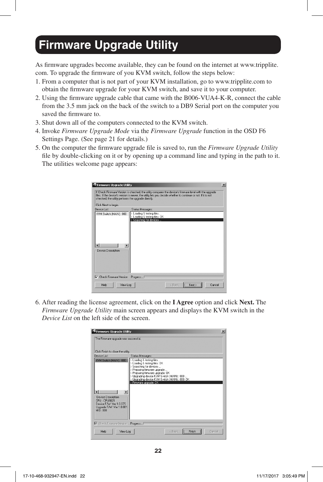### **Firmware Upgrade Utility**

As firmware upgrades become available, they can be found on the internet at www.tripplite. com. To upgrade the firmware of you KVM switch, follow the steps below:

- 1. From a computer that is not part of your KVM installation, go to www.tripplite.com to obtain the firmware upgrade for your KVM switch, and save it to your computer.
- 2. Using the firmware upgrade cable that came with the B006-VUA4-K-R, connect the cable from the 3.5 mm jack on the back of the switch to a DB9 Serial port on the computer you saved the firmware to.
- 3. Shut down all of the computers connected to the KVM switch.
- 4. Invoke *Firmware Upgrade Mode* via the *Firmware Upgrade* function in the OSD F6 Settings Page. (See page 21 for details.)
- 5. On the computer the firmware upgrade file is saved to, run the *Firmware Upgrade Utility* file by double-clicking on it or by opening up a command line and typing in the path to it. The utilities welcome page appears:

| Firmware Upgrade Utility                | If Check Firmware Version is checked, the utility compares the device's firmware level with the upgrade<br>files. If the device's version is newer, the utility lets you decide whether to continue or not. If it is not<br>checked, the utility performs the upgrade directly. | $\vert x \vert$ |
|-----------------------------------------|---------------------------------------------------------------------------------------------------------------------------------------------------------------------------------------------------------------------------------------------------------------------------------|-----------------|
| Click Next to begin.                    |                                                                                                                                                                                                                                                                                 |                 |
| Device List:<br>KVM Switch (MAIN) : 000 | <b>Status Messages:</b><br>> Loading & testing files                                                                                                                                                                                                                            |                 |
| Device Description                      | > Loading & testing files: DK<br>> Searching for devices<br><b>I</b>                                                                                                                                                                                                            |                 |
| 区 Check Firmware Version Progress [     |                                                                                                                                                                                                                                                                                 |                 |
| Help.                                   | View Log<br>< Back<br>Cancel<br>Next >                                                                                                                                                                                                                                          |                 |

6. After reading the license agreement, click on the **I Agree** option and click **Next.** The *Firmware Upgrade Utility* main screen appears and displays the KVM switch in the *Device List* on the left side of the screen.

|                                                                                                                                    | Firmware Upgrade Utility<br>$\vert x \vert$                                                                                                                                                                                                                                              |        |  |
|------------------------------------------------------------------------------------------------------------------------------------|------------------------------------------------------------------------------------------------------------------------------------------------------------------------------------------------------------------------------------------------------------------------------------------|--------|--|
| The Firmware upgrade was successful.                                                                                               |                                                                                                                                                                                                                                                                                          |        |  |
| Click Finish to close the utility.<br>Device List:                                                                                 | Status Messages:                                                                                                                                                                                                                                                                         |        |  |
| KVM Switch (MAIN): 000<br>Device Description<br>CPLI · CPLI8021<br>Device F/W: Ver 1.0.075<br>Upgrade F/W: Ver 1.0.081<br>MID: 000 | > Loading & testing files<br>> Loading & testing files: OK<br>> Searching for devices<br>> Preparing firmware upgrade<br>> Preparing firmware upgrade: OK<br>> Upgrading device KVM Switch (MAIN) : 000<br>> Upgrading device KVM Switch (MAIN) : 000: DK<br>> Firmware upgrade: OK<br>ь |        |  |
|                                                                                                                                    | □ Check Firmware Version Progress [                                                                                                                                                                                                                                                      |        |  |
| Help                                                                                                                               | Finish <sup>"</sup><br>View Log<br>< Back                                                                                                                                                                                                                                                | Cancel |  |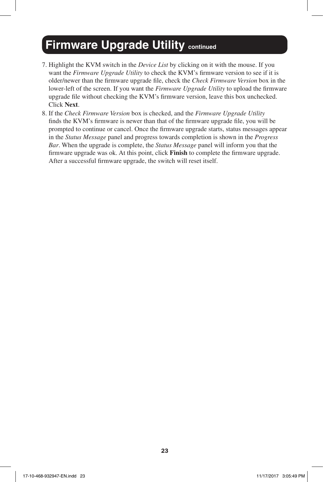### **Firmware Upgrade Utility continued**

- 7. Highlight the KVM switch in the *Device List* by clicking on it with the mouse. If you want the *Firmware Upgrade Utility* to check the KVM's firmware version to see if it is older/newer than the firmware upgrade file, check the *Check Firmware Version* box in the lower-left of the screen. If you want the *Firmware Upgrade Utility* to upload the firmware upgrade file without checking the KVM's firmware version, leave this box unchecked. Click **Next**.
- 8. If the *Check Firmware Version* box is checked, and the *Firmware Upgrade Utility*  finds the KVM's firmware is newer than that of the firmware upgrade file, you will be prompted to continue or cancel. Once the firmware upgrade starts, status messages appear in the *Status Message* panel and progress towards completion is shown in the *Progress Bar*. When the upgrade is complete, the *Status Message* panel will inform you that the firmware upgrade was ok. At this point, click **Finish** to complete the firmware upgrade. After a successful firmware upgrade, the switch will reset itself.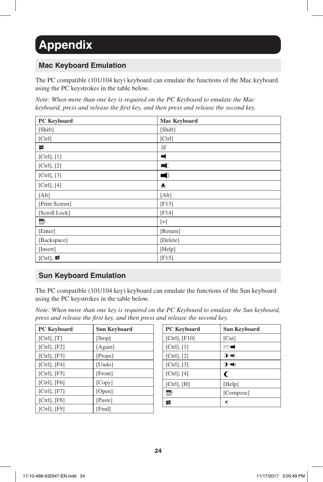# **Appendix**

#### **Mac Keyboard Emulation**

The PC compatible (101/104 key) keyboard can emulate the functions of the Mac keyboard using the PC keystrokes in the table below.

*Note: When more than one key is required on the PC Keyboard to emulate the Mac keyboard, press and release the first key, and then press and release the second key.*

| <b>PC</b> Keyboard | <b>Mac Keyboard</b> |
|--------------------|---------------------|
| [Shift]            | [Shift]             |
| [Ctrl]             | [Ctrl]              |
| H                  | $\mathcal H$        |
| [Ctrl], [1]        | 4                   |
| [Ctrl], [2]        | $\blacksquare$      |
| [Ctrl], [3]        | ◀》                  |
| [Ctrl], [4]        | ≜                   |
| [Alt]              | [Alt]               |
| [Print Screen]     | [F13]               |
| [Scroll Lock]      | [F14]               |
| e                  | $[=]$               |
| [Enter]            | [Return]            |
| [Backspace]        | [Delete]            |
| [Insert]           | [Help]              |
| $[Ctrl]$ ,         | [F15]               |

#### **Sun Keyboard Emulation**

The PC compatible (101/104 key) keyboard can emulate the functions of the Sun keyboard using the PC keystrokes in the table below.

*Note: When more than one key is required on the PC Keyboard to emulate the Sun keyboard, press and release the first key, and then press and release the second key.*

| <b>PC</b> Keyboard | <b>Sun Keyboard</b> |
|--------------------|---------------------|
| [Ctrl], [T]        | [Stop]              |
| [Ctrl], [F2]       | [Again]             |
| [Ctrl], [F3]       | [Props]             |
| $[Ctrl]$ , $[F4]$  | [Undo]              |
| [Ctrl], [F5]       | [Front]             |
| $[Ctrl]$ , $[F6]$  | [Copy]              |
| [Ctrl], [F7]       | [Open]              |
| $[Ctrl]$ , $[ F8]$ | [Paste]             |
| $[Ctrl]$ , $[F9]$  | [Find]              |

| <b>PC</b> Keyboard  | <b>Sun Keyboard</b> |
|---------------------|---------------------|
| $[Ctrl]$ , $[ F10]$ | [Cut]               |
| $[Ctrl]$ , $[1]$    | ▥◥                  |
| $[Ctrl]$ , $[2]$    | $\mathbf{O}$        |
| $[Ctrl]$ , $[3]$    | $() +$              |
| $[Ctrl]$ , $[4]$    | C                   |
| [Ctrl], [H]         | [Help]              |
| EN                  | [Compose]           |
|                     | ⋖                   |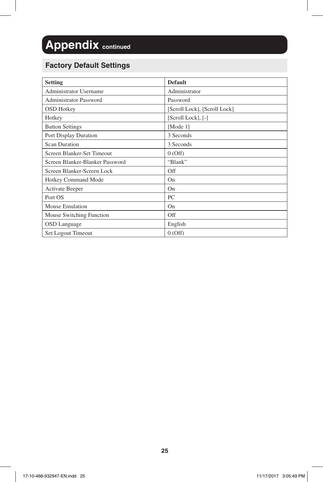# **Appendix continued**

#### **Factory Default Settings**

| <b>Setting</b>                  | <b>Default</b>               |
|---------------------------------|------------------------------|
| <b>Administrator Username</b>   | Administrator                |
| <b>Administrator Password</b>   | Password                     |
| <b>OSD</b> Hotkey               | [Scroll Lock], [Scroll Lock] |
| Hotkey                          | [Scroll Lock], [-]           |
| <b>Button Settings</b>          | [Mode 1]                     |
| Port Display Duration           | 3 Seconds                    |
| <b>Scan Duration</b>            | 3 Seconds                    |
| Screen Blanker-Set Timeout      | 0(Off)                       |
| Screen Blanker-Blanker Password | "Blank"                      |
| Screen Blanker-Screen Lock      | Off                          |
| <b>Hotkey Command Mode</b>      | On                           |
| <b>Activate Beeper</b>          | On                           |
| Port OS                         | PC                           |
| Mouse Emulation                 | On                           |
| Mouse Switching Function        | Off                          |
| <b>OSD</b> Language             | English                      |
| Set Logout Timeout              | 0(Off)                       |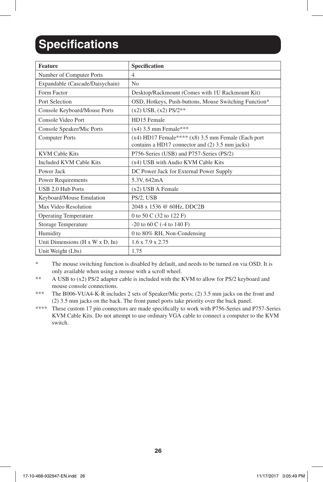## **Specifications**

| <b>Feature</b>                  | Specification                                                                                             |
|---------------------------------|-----------------------------------------------------------------------------------------------------------|
| Number of Computer Ports        | $\overline{4}$                                                                                            |
| Expandable (Cascade/Daisychain) | No                                                                                                        |
| Form Factor                     | Desktop/Rackmount (Comes with 1U Rackmount Kit)                                                           |
| Port Selection                  | OSD, Hotkeys, Push-buttons, Mouse Switching Function*                                                     |
| Console Keyboard/Mouse Ports    | $(x2)$ USB, $(x2)$ PS/2**                                                                                 |
| Console Video Port              | HD15 Female                                                                                               |
| Console Speaker/Mic Ports       | $(x4)$ 3.5 mm Female***                                                                                   |
| <b>Computer Ports</b>           | $(x4)$ HD17 Female**** $(x8)$ 3.5 mm Female (Each port<br>contains a HD17 connector and (2) 3.5 mm jacks) |
| <b>KVM Cable Kits</b>           | P756-Series (USB) and P757-Series (PS/2)                                                                  |
| <b>Included KVM Cable Kits</b>  | (x4) USB with Audio KVM Cable Kits                                                                        |
| Power Jack                      | DC Power Jack for External Power Supply                                                                   |
| <b>Power Requirements</b>       | 5.3V, 642mA                                                                                               |
| USB 2.0 Hub Ports               | $(x2)$ USB A Female                                                                                       |
| Keyboard/Mouse Emulation        | PS/2, USB                                                                                                 |
| Max Video Resolution            | 2048 x 1536 @ 60Hz, DDC2B                                                                                 |
| <b>Operating Temperature</b>    | 0 to 50 C (32 to 122 F)                                                                                   |
| Storage Temperature             | $-20$ to 60 C ( $-4$ to 140 F)                                                                            |
| Humidity                        | 0 to 80% RH, Non-Condensing                                                                               |
| Unit Dimensions (H x W x D, In) | 1.6 x 7.9 x 2.75                                                                                          |
| Unit Weight (Lbs)               | 1.75                                                                                                      |

\* The mouse switching function is disabled by default, and needs to be turned on via OSD. It is only available when using a mouse with a scroll wheel.

\*\* A USB to (x2) PS/2 adapter cable is included with the KVM to allow for PS/2 keyboard and mouse console connections.

\*\*\* The B006-VUA4-K-R includes 2 sets of Speaker/Mic ports; (2) 3.5 mm jacks on the front and (2) 3.5 mm jacks on the back. The front panel ports take priority over the back panel.

\*\*\*\* These custom 17 pin connectors are made specifically to work with P756-Series and P757-Series KVM Cable Kits. Do not attempt to use ordinary VGA cable to connect a computer to the KVM switch.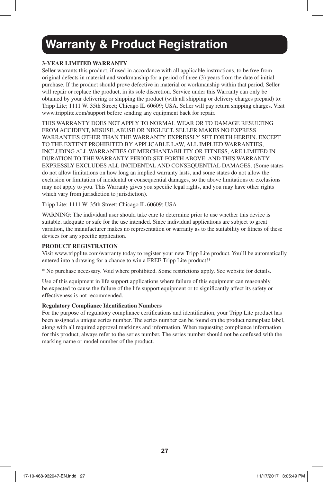### **Warranty & Product Registration**

#### **3-YEAR LIMITED WARRANTY**

Seller warrants this product, if used in accordance with all applicable instructions, to be free from original defects in material and workmanship for a period of three (3) years from the date of initial purchase. If the product should prove defective in material or workmanship within that period, Seller will repair or replace the product, in its sole discretion. Service under this Warranty can only be obtained by your delivering or shipping the product (with all shipping or delivery charges prepaid) to: Tripp Lite; 1111 W. 35th Street; Chicago IL 60609; USA. Seller will pay return shipping charges. Visit www.tripplite.com/support before sending any equipment back for repair.

THIS WARRANTY DOES NOT APPLY TO NORMAL WEAR OR TO DAMAGE RESULTING FROM ACCIDENT, MISUSE, ABUSE OR NEGLECT. SELLER MAKES NO EXPRESS WARRANTIES OTHER THAN THE WARRANTY EXPRESSLY SET FORTH HEREIN. EXCEPT TO THE EXTENT PROHIBITED BY APPLICABLE LAW, ALL IMPLIED WARRANTIES, INCLUDING ALL WARRANTIES OF MERCHANTABILITY OR FITNESS, ARE LIMITED IN DURATION TO THE WARRANTY PERIOD SET FORTH ABOVE; AND THIS WARRANTY EXPRESSLY EXCLUDES ALL INCIDENTAL AND CONSEQUENTIAL DAMAGES. (Some states do not allow limitations on how long an implied warranty lasts, and some states do not allow the exclusion or limitation of incidental or consequential damages, so the above limitations or exclusions may not apply to you. This Warranty gives you specific legal rights, and you may have other rights which vary from jurisdiction to jurisdiction).

Tripp Lite; 1111 W. 35th Street; Chicago IL 60609; USA

WARNING: The individual user should take care to determine prior to use whether this device is suitable, adequate or safe for the use intended. Since individual applications are subject to great variation, the manufacturer makes no representation or warranty as to the suitability or fitness of these devices for any specific application.

#### **PRODUCT REGISTRATION**

Visit www.tripplite.com/warranty today to register your new Tripp Lite product. You'll be automatically entered into a drawing for a chance to win a FREE Tripp Lite product!\*

\* No purchase necessary. Void where prohibited. Some restrictions apply. See website for details.

Use of this equipment in life support applications where failure of this equipment can reasonably be expected to cause the failure of the life support equipment or to significantly affect its safety or effectiveness is not recommended.

#### **Regulatory Compliance Identification Numbers**

For the purpose of regulatory compliance certifications and identification, your Tripp Lite product has been assigned a unique series number. The series number can be found on the product nameplate label, along with all required approval markings and information. When requesting compliance information for this product, always refer to the series number. The series number should not be confused with the marking name or model number of the product.